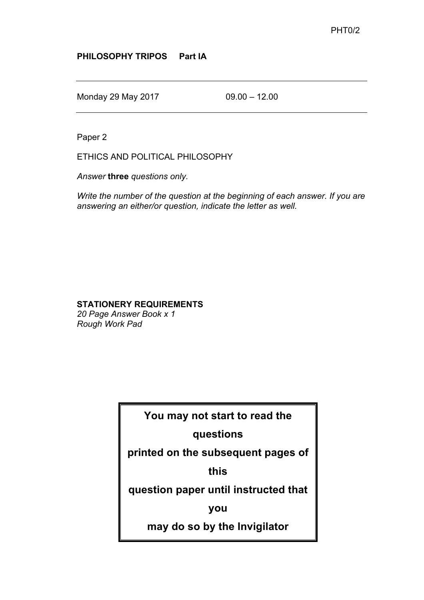## **PHILOSOPHY TRIPOS Part IA**

Monday 29 May 2017 09.00 – 12.00

Paper 2

ETHICS AND POLITICAL PHILOSOPHY

*Answer* **three** *questions only.*

*Write the number of the question at the beginning of each answer. If you are answering an either/or question, indicate the letter as well.*

## **STATIONERY REQUIREMENTS**

*20 Page Answer Book x 1 Rough Work Pad*

**You may not start to read the** 

## **questions**

**printed on the subsequent pages of** 

**this**

**question paper until instructed that** 

**you**

**may do so by the Invigilator**